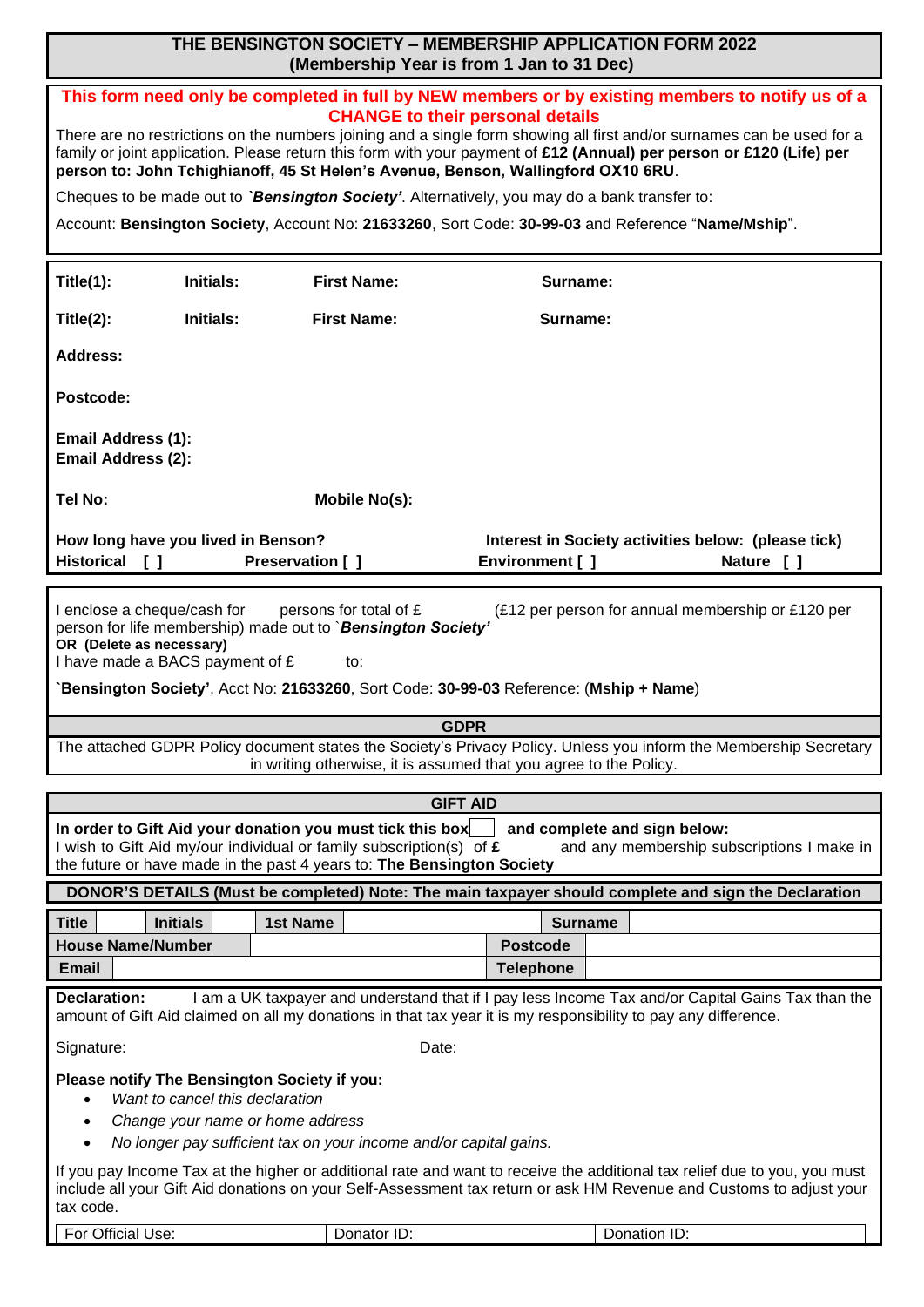# **THE BENSINGTON SOCIETY – MEMBERSHIP APPLICATION FORM 2022 (Membership Year is from 1 Jan to 31 Dec)**

| This form need only be completed in full by NEW members or by existing members to notify us of a<br><b>CHANGE to their personal details</b>                                                                                                                                                                                               |                                    |                    |                  |                                                                                      |  |  |
|-------------------------------------------------------------------------------------------------------------------------------------------------------------------------------------------------------------------------------------------------------------------------------------------------------------------------------------------|------------------------------------|--------------------|------------------|--------------------------------------------------------------------------------------|--|--|
| There are no restrictions on the numbers joining and a single form showing all first and/or surnames can be used for a<br>family or joint application. Please return this form with your payment of £12 (Annual) per person or £120 (Life) per                                                                                            |                                    |                    |                  |                                                                                      |  |  |
| person to: John Tchighianoff, 45 St Helen's Avenue, Benson, Wallingford OX10 6RU.                                                                                                                                                                                                                                                         |                                    |                    |                  |                                                                                      |  |  |
| Cheques to be made out to <b>Bensington Society'</b> . Alternatively, you may do a bank transfer to:                                                                                                                                                                                                                                      |                                    |                    |                  |                                                                                      |  |  |
| Account: Bensington Society, Account No: 21633260, Sort Code: 30-99-03 and Reference "Name/Mship".                                                                                                                                                                                                                                        |                                    |                    |                  |                                                                                      |  |  |
| Title $(1)$ :                                                                                                                                                                                                                                                                                                                             | <b>Initials:</b>                   | <b>First Name:</b> | Surname:         |                                                                                      |  |  |
| Title $(2)$ :                                                                                                                                                                                                                                                                                                                             | Initials:                          | <b>First Name:</b> | Surname:         |                                                                                      |  |  |
| <b>Address:</b>                                                                                                                                                                                                                                                                                                                           |                                    |                    |                  |                                                                                      |  |  |
| Postcode:                                                                                                                                                                                                                                                                                                                                 |                                    |                    |                  |                                                                                      |  |  |
| <b>Email Address (1):</b><br><b>Email Address (2):</b>                                                                                                                                                                                                                                                                                    |                                    |                    |                  |                                                                                      |  |  |
| <b>Tel No:</b>                                                                                                                                                                                                                                                                                                                            |                                    | Mobile No(s):      |                  |                                                                                      |  |  |
| How long have you lived in Benson?<br><b>Historical</b><br>Preservation [ ]<br>- [ ]                                                                                                                                                                                                                                                      |                                    |                    |                  | Interest in Society activities below: (please tick)<br>Environment [ ]<br>Nature [ ] |  |  |
| I enclose a cheque/cash for<br>persons for total of £<br>(£12 per person for annual membership or £120 per<br>person for life membership) made out to `Bensington Society'<br>OR (Delete as necessary)<br>I have made a BACS payment of £<br>to:<br>Bensington Society', Acct No: 21633260, Sort Code: 30-99-03 Reference: (Mship + Name) |                                    |                    |                  |                                                                                      |  |  |
|                                                                                                                                                                                                                                                                                                                                           |                                    |                    |                  |                                                                                      |  |  |
| <b>GDPR</b><br>The attached GDPR Policy document states the Society's Privacy Policy. Unless you inform the Membership Secretary<br>in writing otherwise, it is assumed that you agree to the Policy.                                                                                                                                     |                                    |                    |                  |                                                                                      |  |  |
| <b>GIFT AID</b>                                                                                                                                                                                                                                                                                                                           |                                    |                    |                  |                                                                                      |  |  |
| In order to Gift Aid your donation you must tick this box<br>and complete and sign below:<br>I wish to Gift Aid my/our individual or family subscription(s) of £<br>and any membership subscriptions I make in<br>the future or have made in the past 4 years to: The Bensington Society                                                  |                                    |                    |                  |                                                                                      |  |  |
| DONOR'S DETAILS (Must be completed) Note: The main taxpayer should complete and sign the Declaration                                                                                                                                                                                                                                      |                                    |                    |                  |                                                                                      |  |  |
| <b>Title</b>                                                                                                                                                                                                                                                                                                                              | <b>Initials</b><br><b>1st Name</b> |                    | <b>Surname</b>   |                                                                                      |  |  |
| <b>House Name/Number</b>                                                                                                                                                                                                                                                                                                                  |                                    |                    | <b>Postcode</b>  |                                                                                      |  |  |
| <b>Email</b>                                                                                                                                                                                                                                                                                                                              |                                    |                    | <b>Telephone</b> |                                                                                      |  |  |
| <b>Declaration:</b><br>I am a UK taxpayer and understand that if I pay less Income Tax and/or Capital Gains Tax than the<br>amount of Gift Aid claimed on all my donations in that tax year it is my responsibility to pay any difference.                                                                                                |                                    |                    |                  |                                                                                      |  |  |
| Signature:<br>Date:                                                                                                                                                                                                                                                                                                                       |                                    |                    |                  |                                                                                      |  |  |
| Please notify The Bensington Society if you:<br>Want to cancel this declaration                                                                                                                                                                                                                                                           |                                    |                    |                  |                                                                                      |  |  |
| Change your name or home address                                                                                                                                                                                                                                                                                                          |                                    |                    |                  |                                                                                      |  |  |
| No longer pay sufficient tax on your income and/or capital gains.<br>If you pay Income Tax at the higher or additional rate and want to receive the additional tax relief due to you, you must                                                                                                                                            |                                    |                    |                  |                                                                                      |  |  |
| include all your Gift Aid donations on your Self-Assessment tax return or ask HM Revenue and Customs to adjust your<br>tax code.                                                                                                                                                                                                          |                                    |                    |                  |                                                                                      |  |  |
| For Official Use:                                                                                                                                                                                                                                                                                                                         |                                    | Donator ID:        |                  | Donation ID:                                                                         |  |  |